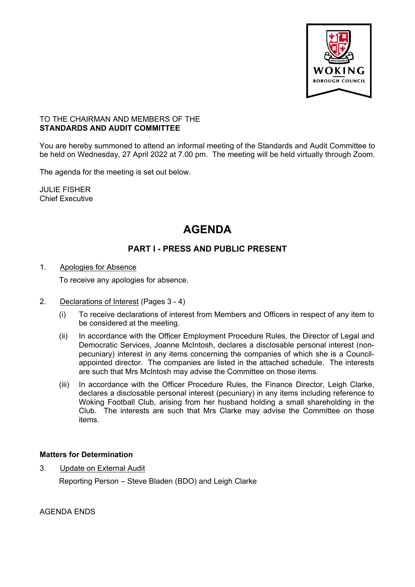

#### TO THE CHAIRMAN AND MEMBERS OF THE **STANDARDS AND AUDIT COMMITTEE**

You are hereby summoned to attend an informal meeting of the Standards and Audit Committee to be held on Wednesday, 27 April 2022 at 7.00 pm. The meeting will be held virtually through Zoom.

The agenda for the meeting is set out below.

JULIE FISHER Chief Executive

# **AGENDA**

## **PART I - PRESS AND PUBLIC PRESENT**

### 1. Apologies for Absence

To receive any apologies for absence.

- 2. Declarations of Interest (Pages 3 4)
	- (i) To receive declarations of interest from Members and Officers in respect of any item to be considered at the meeting.
	- (ii) In accordance with the Officer Employment Procedure Rules, the Director of Legal and Democratic Services, Joanne McIntosh, declares a disclosable personal interest (nonpecuniary) interest in any items concerning the companies of which she is a Councilappointed director. The companies are listed in the attached schedule. The interests are such that Mrs McIntosh may advise the Committee on those items.
	- (iii) In accordance with the Officer Procedure Rules, the Finance Director, Leigh Clarke, declares a disclosable personal interest (pecuniary) in any items including reference to Woking Football Club, arising from her husband holding a small shareholding in the Club. The interests are such that Mrs Clarke may advise the Committee on those items.

### **Matters for Determination**

3. Update on External Audit

Reporting Person – Steve Bladen (BDO) and Leigh Clarke

AGENDA ENDS